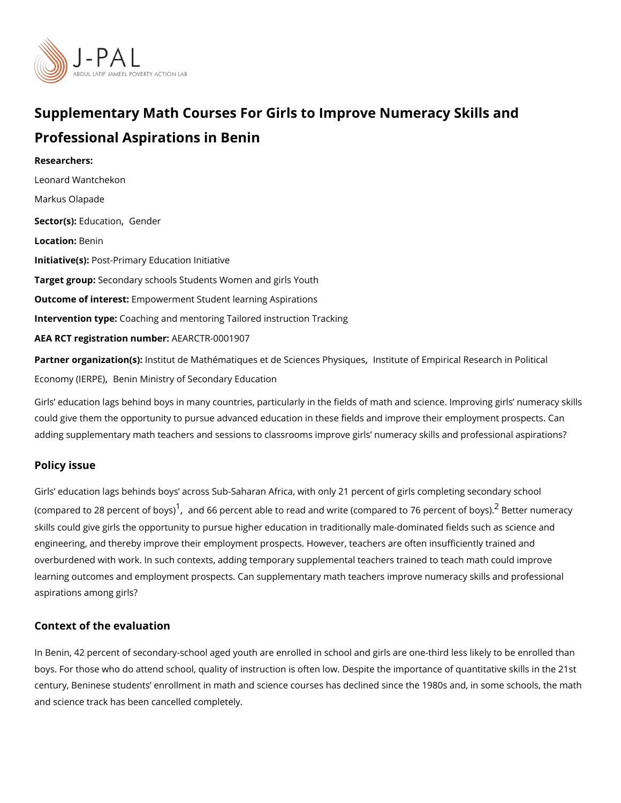# Supplementary Math Courses For Girls to Improve Numeracy Professional Aspirations in Benin

Researchers: [Leonard Wantc](https://www.povertyactionlab.org/person/wantchekon)hekon Markus Olapade Sector(Es) ju catjoGnender LocatioBenin Initiative(PS) st-Primary Education Initiative Target gro&pcondary schools Students Women and girls Youth Outcome of inteler ensptowerment Student learning Aspirations Intervention  $t\mathcal{C}$  paching and mentoring Tailored instruction Tracking AEA RCT registration ArEuAnRbGeTR-0001907

Partner organizatlinosnt(ist)ut de Mathématiques et de Scilenss tiens tien positical Research in Pol [Economy \(I](https://www.povertyactionlab.org/partners/institute-empirical-research-political-economy-ierpe)ERePrE) Ministry of Secondary Education

Girls education lags behind boys in many countries, particularly in the fields of math and could give them the opportunity to pursue advanced education in these fields and improve adding supplementary math teachers and sessions to classrooms improve girls numeracy

#### Policy issue

Girls education lags behinds boys across Sub-Saharan Africa, with only 21 percent of gi (compared to 28 perce<sup>[1](#page-2-0)</sup>n[,](#page-2-0) taontod b6c6y sp)ercent able to read and write (compare<sup>[2](#page-2-0)</sup>dB beot Tel6 memceernatcy of skills could give girls the opportunity to pursue higher education in traditionally male-dor engineering, and thereby improve their employment prospects. However, teachers are ofte overburdened with work. In such contexts, adding temporary supplemental teachers traine learning outcomes and employment prospects. Can supplementary math teachers improve numerational aspirations among girls?

#### Context of the evaluation

In Benin, 42 percent of secondary-school aged youth are enrolled in school and girls are boys. For those who do attend school, quality of instruction is often low. Despite the imper century, Beninese students enrollment in math and science courses has declined since th and science track has been cancelled completely.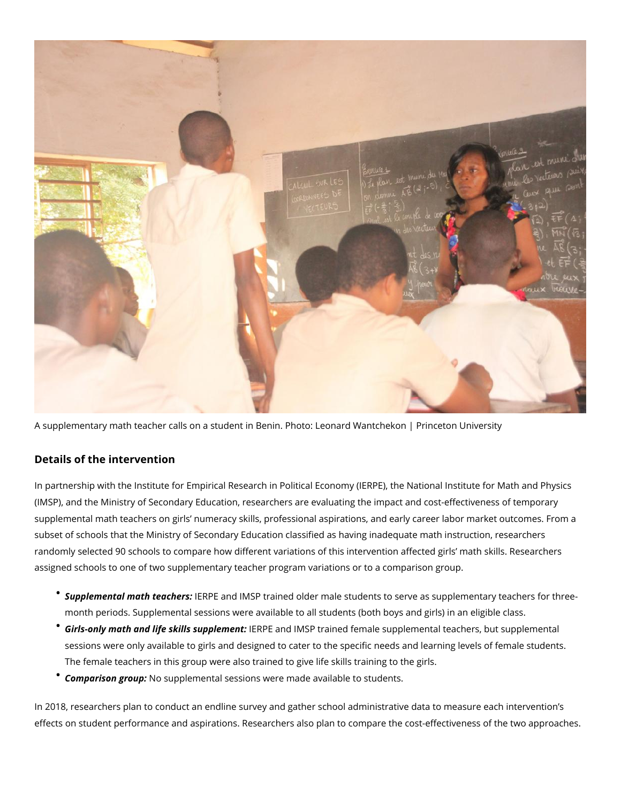

A supplementary math teacher calls on a student in Benin. Photo: Leonard Wantchekon | Princeton University

### **Details of the intervention**

In partnership with the Institute for Empirical Research in Political Economy (IERPE), the National Institute for Math and Physics (IMSP), and the Ministry of Secondary Education, researchers are evaluating the impact and cost-effectiveness of temporary supplemental math teachers on girls' numeracy skills, professional aspirations, and early career labor market outcomes. From a subset of schools that the Ministry of Secondary Education classified as having inadequate math instruction, researchers randomly selected 90 schools to compare how different variations of this intervention affected girls' math skills. Researchers assigned schools to one of two supplementary teacher program variations or to a comparison group.

- *Supplemental math teachers:* IERPE and IMSP trained older male students to serve as supplementary teachers for threemonth periods. Supplemental sessions were available to all students (both boys and girls) in an eligible class.
- *Girls-only math and life skills supplement:* IERPE and IMSP trained female supplemental teachers, but supplemental sessions were only available to girls and designed to cater to the specific needs and learning levels of female students. The female teachers in this group were also trained to give life skills training to the girls.
- *Comparison group:* No supplemental sessions were made available to students.

In 2018, researchers plan to conduct an endline survey and gather school administrative data to measure each intervention's effects on student performance and aspirations. Researchers also plan to compare the cost-effectiveness of the two approaches.